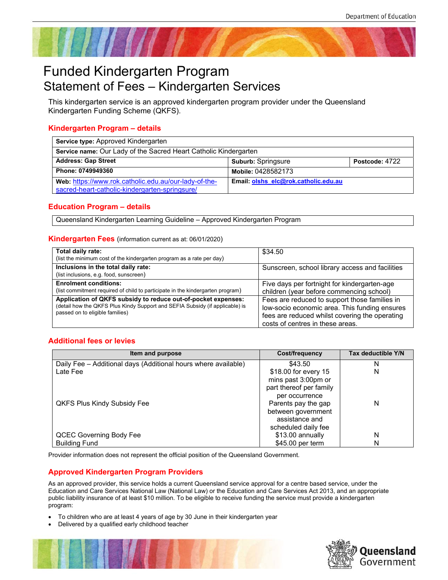

## Funded Kindergarten Program Statement of Fees – Kindergarten Services

This kindergarten service is an approved kindergarten program provider under the Queensland Kindergarten Funding Scheme (QKFS).

### **Kindergarten Program – details**

| Service type: Approved Kindergarten                              |                                      |                |  |
|------------------------------------------------------------------|--------------------------------------|----------------|--|
| Service name: Our Lady of the Sacred Heart Catholic Kindergarten |                                      |                |  |
| <b>Address: Gap Street</b>                                       | <b>Suburb: Springsure</b>            | Postcode: 4722 |  |
| Phone: 0749949360                                                | Mobile: 0428582173                   |                |  |
| Web: https://www.rok.catholic.edu.au/our-lady-of-the-            | Email: olshs elc@rok.catholic.edu.au |                |  |
| sacred-heart-catholic-kindergarten-springsure/                   |                                      |                |  |

## **Education Program – details**

Queensland Kindergarten Learning Guideline – Approved Kindergarten Program

#### **Kindergarten Fees** (information current as at: 06/01/2020)

| Total daily rate:<br>(list the minimum cost of the kindergarten program as a rate per day)                                                                                       | \$34.50                                                                                                                                                                              |  |
|----------------------------------------------------------------------------------------------------------------------------------------------------------------------------------|--------------------------------------------------------------------------------------------------------------------------------------------------------------------------------------|--|
| Inclusions in the total daily rate:<br>(list inclusions, e.g. food, sunscreen)                                                                                                   | Sunscreen, school library access and facilities                                                                                                                                      |  |
| <b>Enrolment conditions:</b><br>(list commitment required of child to participate in the kindergarten program)                                                                   | Five days per fortnight for kindergarten-age<br>children (year before commencing school)                                                                                             |  |
| Application of QKFS subsidy to reduce out-of-pocket expenses:<br>(detail how the QKFS Plus Kindy Support and SEFIA Subsidy (if applicable) is<br>passed on to eligible families) | Fees are reduced to support those families in<br>low-socio economic area. This funding ensures<br>fees are reduced whilst covering the operating<br>costs of centres in these areas. |  |

#### **Additional fees or levies**

| Item and purpose                                               | <b>Cost/frequency</b>   | Tax deductible Y/N |
|----------------------------------------------------------------|-------------------------|--------------------|
| Daily Fee - Additional days (Additional hours where available) | \$43.50                 | N                  |
| Late Fee                                                       | \$18.00 for every 15    | N                  |
|                                                                | mins past 3:00pm or     |                    |
|                                                                | part thereof per family |                    |
|                                                                | per occurrence          |                    |
| <b>QKFS Plus Kindy Subsidy Fee</b>                             | Parents pay the gap     | N                  |
|                                                                | between government      |                    |
|                                                                | assistance and          |                    |
|                                                                | scheduled daily fee     |                    |
| QCEC Governing Body Fee                                        | \$13.00 annually        | N                  |
| <b>Building Fund</b>                                           | \$45.00 per term        | N                  |

Provider information does not represent the official position of the Queensland Government.

## **Approved Kindergarten Program Providers**

As an approved provider, this service holds a current Queensland service approval for a centre based service, under the Education and Care Services National Law (National Law) or the Education and Care Services Act 2013, and an appropriate public liability insurance of at least \$10 million. To be eligible to receive funding the service must provide a kindergarten program:

- To children who are at least 4 years of age by 30 June in their kindergarten year
- Delivered by a qualified early childhood teacher